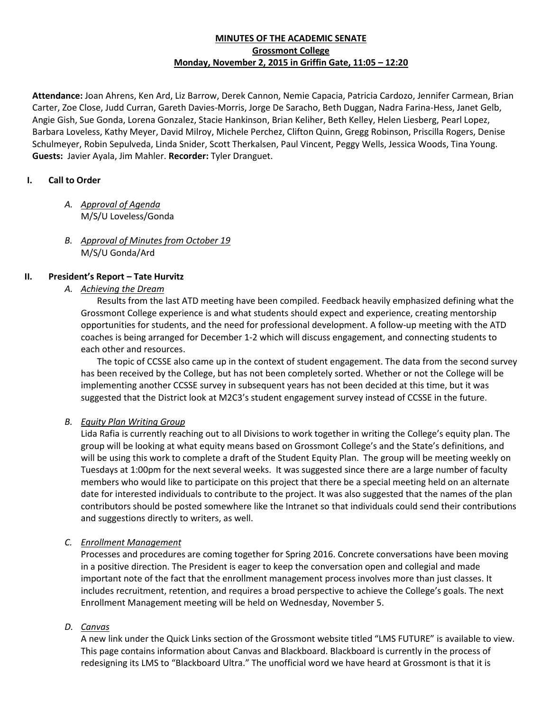#### **MINUTES OF THE ACADEMIC SENATE Grossmont College Monday, November 2, 2015 in Griffin Gate, 11:05 – 12:20**

**Attendance:** Joan Ahrens, Ken Ard, Liz Barrow, Derek Cannon, Nemie Capacia, Patricia Cardozo, Jennifer Carmean, Brian Carter, Zoe Close, Judd Curran, Gareth Davies-Morris, Jorge De Saracho, Beth Duggan, Nadra Farina-Hess, Janet Gelb, Angie Gish, Sue Gonda, Lorena Gonzalez, Stacie Hankinson, Brian Keliher, Beth Kelley, Helen Liesberg, Pearl Lopez, Barbara Loveless, Kathy Meyer, David Milroy, Michele Perchez, Clifton Quinn, Gregg Robinson, Priscilla Rogers, Denise Schulmeyer, Robin Sepulveda, Linda Snider, Scott Therkalsen, Paul Vincent, Peggy Wells, Jessica Woods, Tina Young. **Guests:** Javier Ayala, Jim Mahler. **Recorder:** Tyler Dranguet.

## **I. Call to Order**

- *A. Approval of Agenda* M/S/U Loveless/Gonda
- *B. Approval of Minutes from October 19* M/S/U Gonda/Ard

# **II. President's Report – Tate Hurvitz**

*A. Achieving the Dream*

Results from the last ATD meeting have been compiled. Feedback heavily emphasized defining what the Grossmont College experience is and what students should expect and experience, creating mentorship opportunities for students, and the need for professional development. A follow-up meeting with the ATD coaches is being arranged for December 1-2 which will discuss engagement, and connecting students to each other and resources.

The topic of CCSSE also came up in the context of student engagement. The data from the second survey has been received by the College, but has not been completely sorted. Whether or not the College will be implementing another CCSSE survey in subsequent years has not been decided at this time, but it was suggested that the District look at M2C3's student engagement survey instead of CCSSE in the future.

## *B. Equity Plan Writing Group*

Lida Rafia is currently reaching out to all Divisions to work together in writing the College's equity plan. The group will be looking at what equity means based on Grossmont College's and the State's definitions, and will be using this work to complete a draft of the Student Equity Plan. The group will be meeting weekly on Tuesdays at 1:00pm for the next several weeks. It was suggested since there are a large number of faculty members who would like to participate on this project that there be a special meeting held on an alternate date for interested individuals to contribute to the project. It was also suggested that the names of the plan contributors should be posted somewhere like the Intranet so that individuals could send their contributions and suggestions directly to writers, as well.

## *C. Enrollment Management*

Processes and procedures are coming together for Spring 2016. Concrete conversations have been moving in a positive direction. The President is eager to keep the conversation open and collegial and made important note of the fact that the enrollment management process involves more than just classes. It includes recruitment, retention, and requires a broad perspective to achieve the College's goals. The next Enrollment Management meeting will be held on Wednesday, November 5.

## *D. Canvas*

A new link under the Quick Links section of the Grossmont website titled "LMS FUTURE" is available to view. This page contains information about Canvas and Blackboard. Blackboard is currently in the process of redesigning its LMS to "Blackboard Ultra." The unofficial word we have heard at Grossmont is that it is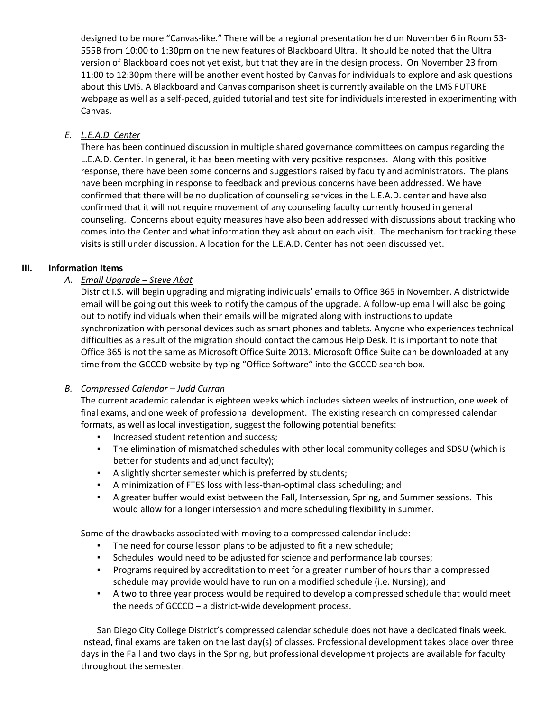designed to be more "Canvas-like." There will be a regional presentation held on November 6 in Room 53- 555B from 10:00 to 1:30pm on the new features of Blackboard Ultra. It should be noted that the Ultra version of Blackboard does not yet exist, but that they are in the design process. On November 23 from 11:00 to 12:30pm there will be another event hosted by Canvas for individuals to explore and ask questions about this LMS. A Blackboard and Canvas comparison sheet is currently available on the LMS FUTURE webpage as well as a self-paced, guided tutorial and test site for individuals interested in experimenting with Canvas.

#### *E. L.E.A.D. Center*

There has been continued discussion in multiple shared governance committees on campus regarding the L.E.A.D. Center. In general, it has been meeting with very positive responses. Along with this positive response, there have been some concerns and suggestions raised by faculty and administrators. The plans have been morphing in response to feedback and previous concerns have been addressed. We have confirmed that there will be no duplication of counseling services in the L.E.A.D. center and have also confirmed that it will not require movement of any counseling faculty currently housed in general counseling. Concerns about equity measures have also been addressed with discussions about tracking who comes into the Center and what information they ask about on each visit. The mechanism for tracking these visits is still under discussion. A location for the L.E.A.D. Center has not been discussed yet.

#### **III. Information Items**

## *A. Email Upgrade – Steve Abat*

District I.S. will begin upgrading and migrating individuals' emails to Office 365 in November. A districtwide email will be going out this week to notify the campus of the upgrade. A follow-up email will also be going out to notify individuals when their emails will be migrated along with instructions to update synchronization with personal devices such as smart phones and tablets. Anyone who experiences technical difficulties as a result of the migration should contact the campus Help Desk. It is important to note that Office 365 is not the same as Microsoft Office Suite 2013. Microsoft Office Suite can be downloaded at any time from the GCCCD website by typing "Office Software" into the GCCCD search box.

## *B. Compressed Calendar – Judd Curran*

The current academic calendar is eighteen weeks which includes sixteen weeks of instruction, one week of final exams, and one week of professional development. The existing research on compressed calendar formats, as well as local investigation, suggest the following potential benefits:

- **·** Increased student retention and success;
- The elimination of mismatched schedules with other local community colleges and SDSU (which is better for students and adjunct faculty);
- A slightly shorter semester which is preferred by students;
- A minimization of FTES loss with less-than-optimal class scheduling; and
- A greater buffer would exist between the Fall, Intersession, Spring, and Summer sessions. This would allow for a longer intersession and more scheduling flexibility in summer.

Some of the drawbacks associated with moving to a compressed calendar include:

- The need for course lesson plans to be adjusted to fit a new schedule;
- Schedules would need to be adjusted for science and performance lab courses;
- **•** Programs required by accreditation to meet for a greater number of hours than a compressed schedule may provide would have to run on a modified schedule (i.e. Nursing); and
- A two to three year process would be required to develop a compressed schedule that would meet the needs of GCCCD – a district-wide development process.

San Diego City College District's compressed calendar schedule does not have a dedicated finals week. Instead, final exams are taken on the last day(s) of classes. Professional development takes place over three days in the Fall and two days in the Spring, but professional development projects are available for faculty throughout the semester.